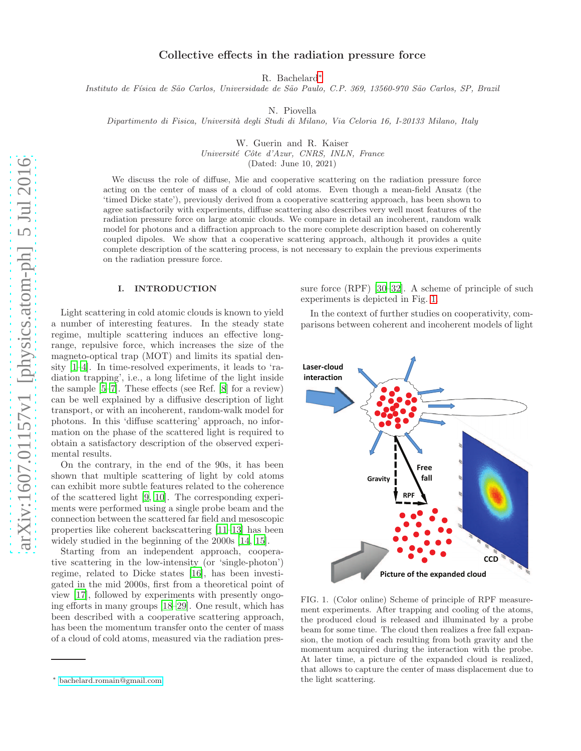# Collective effects in the radiation pressure force

R. Bachelard[∗](#page-0-0)

Instituto de Física de São Carlos, Universidade de São Paulo, C.P. 369, 13560-970 São Carlos, SP, Brazil

N. Piovella

Dipartimento di Fisica, Università degli Studi di Milano, Via Celoria 16, I-20133 Milano, Italy

W. Guerin and R. Kaiser

Université Côte d'Azur, CNRS, INLN, France

(Dated: June 10, 2021)

We discuss the role of diffuse, Mie and cooperative scattering on the radiation pressure force acting on the center of mass of a cloud of cold atoms. Even though a mean-field Ansatz (the 'timed Dicke state'), previously derived from a cooperative scattering approach, has been shown to agree satisfactorily with experiments, diffuse scattering also describes very well most features of the radiation pressure force on large atomic clouds. We compare in detail an incoherent, random walk model for photons and a diffraction approach to the more complete description based on coherently coupled dipoles. We show that a cooperative scattering approach, although it provides a quite complete description of the scattering process, is not necessary to explain the previous experiments on the radiation pressure force.

### I. INTRODUCTION

Light scattering in cold atomic clouds is known to yield a number of interesting features. In the steady state regime, multiple scattering induces an effective longrange, repulsive force, which increases the size of the magneto-optical trap (MOT) and limits its spatial density [\[1](#page-9-0)[–4](#page-10-0)]. In time-resolved experiments, it leads to 'radiation trapping', i.e., a long lifetime of the light inside the sample [\[5](#page-10-1)[–7\]](#page-10-2). These effects (see Ref. [\[8](#page-10-3)] for a review) can be well explained by a diffusive description of light transport, or with an incoherent, random-walk model for photons. In this 'diffuse scattering' approach, no information on the phase of the scattered light is required to obtain a satisfactory description of the observed experimental results.

On the contrary, in the end of the 90s, it has been shown that multiple scattering of light by cold atoms can exhibit more subtle features related to the coherence of the scattered light [\[9,](#page-10-4) [10](#page-10-5)]. The corresponding experiments were performed using a single probe beam and the connection between the scattered far field and mesoscopic properties like coherent backscattering [\[11](#page-10-6)[–13\]](#page-10-7) has been widely studied in the beginning of the 2000s [\[14](#page-10-8), [15](#page-10-9)].

Starting from an independent approach, cooperative scattering in the low-intensity (or 'single-photon') regime, related to Dicke states [\[16\]](#page-10-10), has been investigated in the mid 2000s, first from a theoretical point of view [\[17](#page-10-11)], followed by experiments with presently ongoing efforts in many groups [\[18](#page-10-12)[–29\]](#page-10-13). One result, which has been described with a cooperative scattering approach, has been the momentum transfer onto the center of mass of a cloud of cold atoms, measured via the radiation pressure force (RPF) [\[30](#page-10-14)[–32\]](#page-10-15). A scheme of principle of such experiments is depicted in Fig. [1.](#page-0-1)

In the context of further studies on cooperativity, comparisons between coherent and incoherent models of light



<span id="page-0-1"></span>FIG. 1. (Color online) Scheme of principle of RPF measurement experiments. After trapping and cooling of the atoms, the produced cloud is released and illuminated by a probe beam for some time. The cloud then realizes a free fall expansion, the motion of each resulting from both gravity and the momentum acquired during the interaction with the probe. At later time, a picture of the expanded cloud is realized, that allows to capture the center of mass displacement due to the light scattering.

<span id="page-0-0"></span><sup>∗</sup> [bachelard.romain@gmail.com](mailto:bachelard.romain@gmail.com)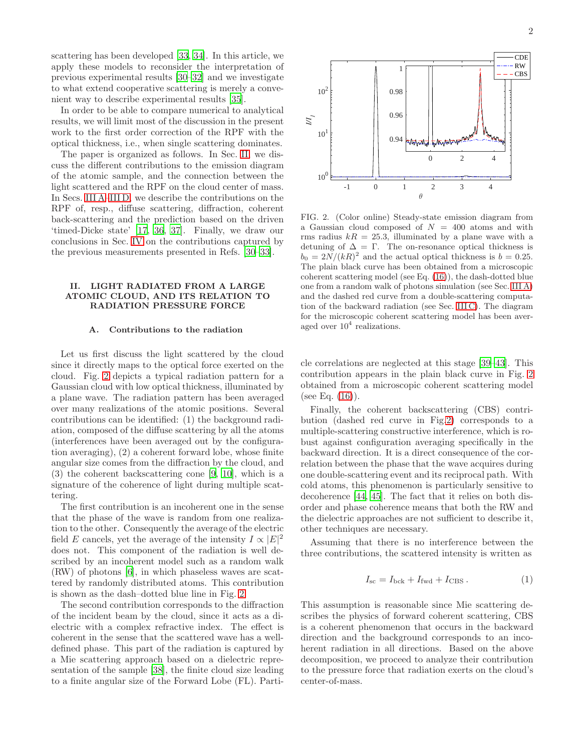scattering has been developed [\[33,](#page-10-16) [34](#page-10-17)]. In this article, we apply these models to reconsider the interpretation of previous experimental results [\[30](#page-10-14)[–32\]](#page-10-15) and we investigate to what extend cooperative scattering is merely a convenient way to describe experimental results [\[35](#page-10-18)].

In order to be able to compare numerical to analytical results, we will limit most of the discussion in the present work to the first order correction of the RPF with the optical thickness, i.e., when single scattering dominates.

The paper is organized as follows. In Sec. [II,](#page-1-0) we discuss the different contributions to the emission diagram of the atomic sample, and the connection between the light scattered and the RPF on the cloud center of mass. In Secs. [III A–](#page-2-0)[III D,](#page-6-0) we describe the contributions on the RPF of, resp., diffuse scattering, diffraction, coherent back-scattering and the prediction based on the driven 'timed-Dicke state' [\[17](#page-10-11), [36,](#page-10-19) [37](#page-10-20)]. Finally, we draw our conclusions in Sec. [IV](#page-6-1) on the contributions captured by the previous measurements presented in Refs. [\[30](#page-10-14)[–33](#page-10-16)].

## <span id="page-1-0"></span>II. LIGHT RADIATED FROM A LARGE ATOMIC CLOUD, AND ITS RELATION TO RADIATION PRESSURE FORCE

#### <span id="page-1-2"></span>A. Contributions to the radiation

Let us first discuss the light scattered by the cloud since it directly maps to the optical force exerted on the cloud. Fig. [2](#page-1-1) depicts a typical radiation pattern for a Gaussian cloud with low optical thickness, illuminated by a plane wave. The radiation pattern has been averaged over many realizations of the atomic positions. Several contributions can be identified: (1) the background radiation, composed of the diffuse scattering by all the atoms (interferences have been averaged out by the configuration averaging), (2) a coherent forward lobe, whose finite angular size comes from the diffraction by the cloud, and (3) the coherent backscattering cone [\[9,](#page-10-4) [10](#page-10-5)], which is a signature of the coherence of light during multiple scattering.

The first contribution is an incoherent one in the sense that the phase of the wave is random from one realization to the other. Consequently the average of the electric field E cancels, yet the average of the intensity  $I \propto |E|^2$ does not. This component of the radiation is well described by an incoherent model such as a random walk (RW) of photons [\[6\]](#page-10-21), in which phaseless waves are scattered by randomly distributed atoms. This contribution is shown as the dash–dotted blue line in Fig. [2.](#page-1-1)

The second contribution corresponds to the diffraction of the incident beam by the cloud, since it acts as a dielectric with a complex refractive index. The effect is coherent in the sense that the scattered wave has a welldefined phase. This part of the radiation is captured by a Mie scattering approach based on a dielectric representation of the sample [\[38](#page-10-22)], the finite cloud size leading to a finite angular size of the Forward Lobe (FL). Parti-



<span id="page-1-1"></span>FIG. 2. (Color online) Steady-state emission diagram from a Gaussian cloud composed of  $N = 400$  atoms and with rms radius  $kR = 25.3$ , illuminated by a plane wave with a detuning of  $\Delta = \Gamma$ . The on-resonance optical thickness is  $b_0 = 2N/(kR)^2$  and the actual optical thickness is  $b = 0.25$ . The plain black curve has been obtained from a microscopic coherent scattering model (see Eq. [\(16\)](#page-5-0)), the dash-dotted blue one from a random walk of photons simulation (see Sec. [III A\)](#page-2-0) and the dashed red curve from a double-scattering computation of the backward radiation (see Sec. [III C\)](#page-5-1). The diagram for the microscopic coherent scattering model has been averaged over  $10^4$  realizations.

cle correlations are neglected at this stage [\[39](#page-10-23)[–43](#page-10-24)]. This contribution appears in the plain black curve in Fig. [2](#page-1-1) obtained from a microscopic coherent scattering model (see Eq.  $(16)$ ).

Finally, the coherent backscattering (CBS) contribution (dashed red curve in Fig[.2\)](#page-1-1) corresponds to a multiple-scattering constructive interference, which is robust against configuration averaging specifically in the backward direction. It is a direct consequence of the correlation between the phase that the wave acquires during one double-scattering event and its reciprocal path. With cold atoms, this phenomenon is particularly sensitive to decoherence [\[44](#page-10-25), [45](#page-10-26)]. The fact that it relies on both disorder and phase coherence means that both the RW and the dielectric approaches are not sufficient to describe it, other techniques are necessary.

Assuming that there is no interference between the three contributions, the scattered intensity is written as

<span id="page-1-3"></span>
$$
I_{\rm sc} = I_{\rm bck} + I_{\rm fwd} + I_{\rm CBS} \,. \tag{1}
$$

This assumption is reasonable since Mie scattering describes the physics of forward coherent scattering, CBS is a coherent phenomenon that occurs in the backward direction and the background corresponds to an incoherent radiation in all directions. Based on the above decomposition, we proceed to analyze their contribution to the pressure force that radiation exerts on the cloud's center-of-mass.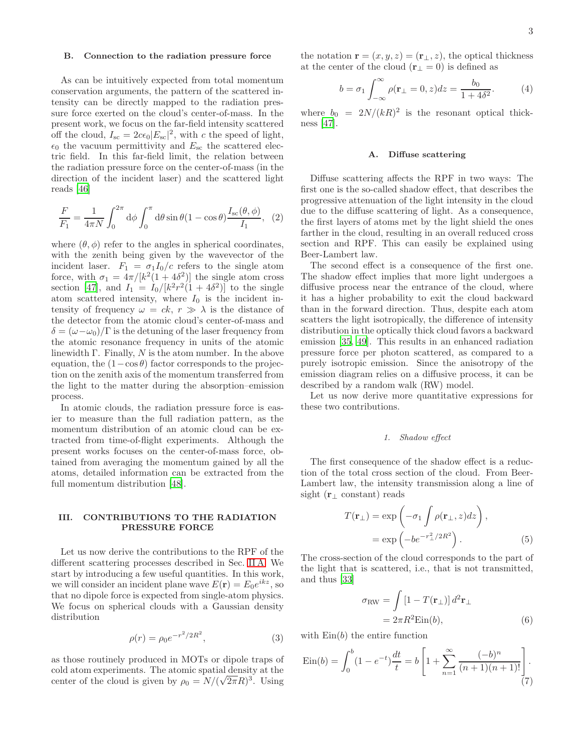#### B. Connection to the radiation pressure force

As can be intuitively expected from total momentum conservation arguments, the pattern of the scattered intensity can be directly mapped to the radiation pressure force exerted on the cloud's center-of-mass. In the present work, we focus on the far-field intensity scattered off the cloud,  $I_{\rm sc} = 2c\epsilon_0 |E_{\rm sc}|^2$ , with c the speed of light,  $\epsilon_0$  the vacuum permittivity and  $E_{\rm sc}$  the scattered electric field. In this far-field limit, the relation between the radiation pressure force on the center-of-mass (in the direction of the incident laser) and the scattered light reads [\[46\]](#page-10-27)

<span id="page-2-2"></span>
$$
\frac{F}{F_1} = \frac{1}{4\pi N} \int_0^{2\pi} d\phi \int_0^{\pi} d\theta \sin\theta (1 - \cos\theta) \frac{I_{\rm sc}(\theta, \phi)}{I_1}, \tag{2}
$$

where  $(\theta, \phi)$  refer to the angles in spherical coordinates, with the zenith being given by the wavevector of the incident laser.  $F_1 = \sigma_1 I_0/c$  refers to the single atom force, with  $\sigma_1 = 4\pi/[k^2(1+4\delta^2)]$  the single atom cross section [\[47](#page-10-28)], and  $I_1 = I_0/[k^2r^2(1+4\delta^2)]$  to the single atom scattered intensity, where  $I_0$  is the incident intensity of frequency  $\omega = ck, r \gg \lambda$  is the distance of the detector from the atomic cloud's center-of-mass and  $\delta = (\omega - \omega_0)/\Gamma$  is the detuning of the laser frequency from the atomic resonance frequency in units of the atomic linewidth  $\Gamma$ . Finally, N is the atom number. In the above equation, the  $(1-\cos\theta)$  factor corresponds to the projection on the zenith axis of the momentum transferred from the light to the matter during the absorption–emission process.

In atomic clouds, the radiation pressure force is easier to measure than the full radiation pattern, as the momentum distribution of an atomic cloud can be extracted from time-of-flight experiments. Although the present works focuses on the center-of-mass force, obtained from averaging the momentum gained by all the atoms, detailed information can be extracted from the full momentum distribution [\[48\]](#page-10-29).

### III. CONTRIBUTIONS TO THE RADIATION PRESSURE FORCE

Let us now derive the contributions to the RPF of the different scattering processes described in Sec. [II A.](#page-1-2) We start by introducing a few useful quantities. In this work, we will consider an incident plane wave  $E(\mathbf{r}) = E_0 e^{ikz}$ , so that no dipole force is expected from single-atom physics. We focus on spherical clouds with a Gaussian density distribution

$$
\rho(r) = \rho_0 e^{-r^2/2R^2},\tag{3}
$$

as those routinely produced in MOTs or dipole traps of cold atom experiments. The atomic spatial density at the center of the cloud is given by  $\rho_0 = N/(\sqrt{2\pi}R)^3$ . Using

the notation  $\mathbf{r} = (x, y, z) = (\mathbf{r}_{\perp}, z)$ , the optical thickness at the center of the cloud  $(\mathbf{r}_{\perp} = 0)$  is defined as

$$
b = \sigma_1 \int_{-\infty}^{\infty} \rho(\mathbf{r}_{\perp} = 0, z) dz = \frac{b_0}{1 + 4\delta^2}.
$$
 (4)

where  $b_0 = 2N/(kR)^2$  is the resonant optical thickness [\[47\]](#page-10-28).

#### <span id="page-2-0"></span>A. Diffuse scattering

Diffuse scattering affects the RPF in two ways: The first one is the so-called shadow effect, that describes the progressive attenuation of the light intensity in the cloud due to the diffuse scattering of light. As a consequence, the first layers of atoms met by the light shield the ones farther in the cloud, resulting in an overall reduced cross section and RPF. This can easily be explained using Beer-Lambert law.

The second effect is a consequence of the first one. The shadow effect implies that more light undergoes a diffusive process near the entrance of the cloud, where it has a higher probability to exit the cloud backward than in the forward direction. Thus, despite each atom scatters the light isotropically, the difference of intensity distribution in the optically thick cloud favors a backward emission [\[35](#page-10-18), [49\]](#page-10-30). This results in an enhanced radiation pressure force per photon scattered, as compared to a purely isotropic emission. Since the anisotropy of the emission diagram relies on a diffusive process, it can be described by a random walk (RW) model.

Let us now derive more quantitative expressions for these two contributions.

#### 1. Shadow effect

The first consequence of the shadow effect is a reduction of the total cross section of the cloud. From Beer-Lambert law, the intensity transmission along a line of sight ( $\mathbf{r}_{\perp}$  constant) reads

<span id="page-2-3"></span>
$$
T(\mathbf{r}_{\perp}) = \exp\left(-\sigma_1 \int \rho(\mathbf{r}_{\perp}, z) dz\right),
$$
  
=  $\exp\left(-be^{-r_{\perp}^2/2R^2}\right).$  (5)

The cross-section of the cloud corresponds to the part of the light that is scattered, i.e., that is not transmitted, and thus [\[33](#page-10-16)]

<span id="page-2-1"></span>
$$
\sigma_{\text{RW}} = \int \left[1 - T(\mathbf{r}_{\perp})\right] d^2 \mathbf{r}_{\perp}
$$

$$
= 2\pi R^2 \text{Ein}(b), \tag{6}
$$

with  $\text{Ein}(b)$  the entire function

$$
Ein(b) = \int_0^b (1 - e^{-t}) \frac{dt}{t} = b \left[ 1 + \sum_{n=1}^\infty \frac{(-b)^n}{(n+1)(n+1)!} \right].
$$
\n(7)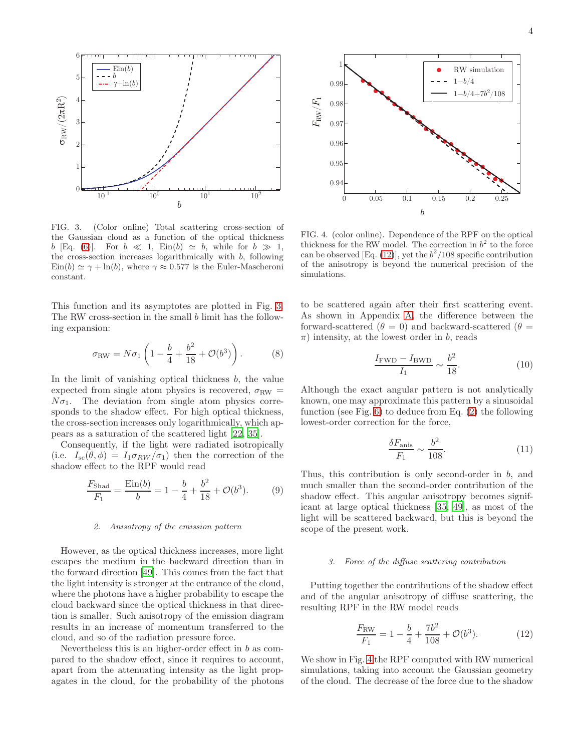

<span id="page-3-0"></span>FIG. 3. (Color online) Total scattering cross-section of the Gaussian cloud as a function of the optical thickness b [Eq. [\(6\)](#page-2-1)]. For  $b \ll 1$ , Ein(b)  $\simeq b$ , while for  $b \gg 1$ , the cross-section increases logarithmically with b, following  $\text{Ein}(b) \simeq \gamma + \text{ln}(b)$ , where  $\gamma \approx 0.577$  is the Euler-Mascheroni constant.

This function and its asymptotes are plotted in Fig. [3.](#page-3-0) The RW cross-section in the small b limit has the following expansion:

<span id="page-3-4"></span>
$$
\sigma_{\text{RW}} = N\sigma_1 \left( 1 - \frac{b}{4} + \frac{b^2}{18} + \mathcal{O}(b^3) \right). \tag{8}
$$

In the limit of vanishing optical thickness  $b$ , the value expected from single atom physics is recovered,  $\sigma_{\text{RW}} =$  $N\sigma_1$ . The deviation from single atom physics corresponds to the shadow effect. For high optical thickness, the cross-section increases only logarithmically, which appears as a saturation of the scattered light [\[22,](#page-10-31) [35\]](#page-10-18).

Consequently, if the light were radiated isotropically (i.e.  $I_{\rm sc}(\theta, \phi) = I_1 \sigma_{RW}/\sigma_1$ ) then the correction of the shadow effect to the RPF would read

<span id="page-3-3"></span>
$$
\frac{F_{\text{Shad}}}{F_1} = \frac{\text{Ein}(b)}{b} = 1 - \frac{b}{4} + \frac{b^2}{18} + \mathcal{O}(b^3). \tag{9}
$$

#### 2. Anisotropy of the emission pattern

However, as the optical thickness increases, more light escapes the medium in the backward direction than in the forward direction [\[49\]](#page-10-30). This comes from the fact that the light intensity is stronger at the entrance of the cloud, where the photons have a higher probability to escape the cloud backward since the optical thickness in that direction is smaller. Such anisotropy of the emission diagram results in an increase of momentum transferred to the cloud, and so of the radiation pressure force.

Nevertheless this is an higher-order effect in b as compared to the shadow effect, since it requires to account, apart from the attenuating intensity as the light propagates in the cloud, for the probability of the photons



<span id="page-3-2"></span>FIG. 4. (color online). Dependence of the RPF on the optical thickness for the RW model. The correction in  $b^2$  to the force can be observed [Eq. [\(12\)](#page-3-1)], yet the  $b^2/108$  specific contribution of the anisotropy is beyond the numerical precision of the simulations.

to be scattered again after their first scattering event. As shown in Appendix [A,](#page-7-0) the difference between the forward-scattered ( $\theta = 0$ ) and backward-scattered ( $\theta =$  $\pi$ ) intensity, at the lowest order in b, reads

$$
\frac{I_{\text{FWD}} - I_{\text{BWD}}}{I_1} \sim \frac{b^2}{18}.\tag{10}
$$

Although the exact angular pattern is not analytically known, one may approximate this pattern by a sinusoidal function (see Fig. [6\)](#page-8-0) to deduce from Eq. [\(2\)](#page-2-2) the following lowest-order correction for the force,

$$
\frac{\delta F_{\text{anis}}}{F_1} \sim \frac{b^2}{108}.\tag{11}
$$

Thus, this contribution is only second-order in b, and much smaller than the second-order contribution of the shadow effect. This angular anisotropy becomes significant at large optical thickness [\[35,](#page-10-18) [49\]](#page-10-30), as most of the light will be scattered backward, but this is beyond the scope of the present work.

#### 3. Force of the diffuse scattering contribution

Putting together the contributions of the shadow effect and of the angular anisotropy of diffuse scattering, the resulting RPF in the RW model reads

<span id="page-3-1"></span>
$$
\frac{F_{\rm RW}}{F_1} = 1 - \frac{b}{4} + \frac{7b^2}{108} + \mathcal{O}(b^3). \tag{12}
$$

We show in Fig. [4](#page-3-2) the RPF computed with RW numerical simulations, taking into account the Gaussian geometry of the cloud. The decrease of the force due to the shadow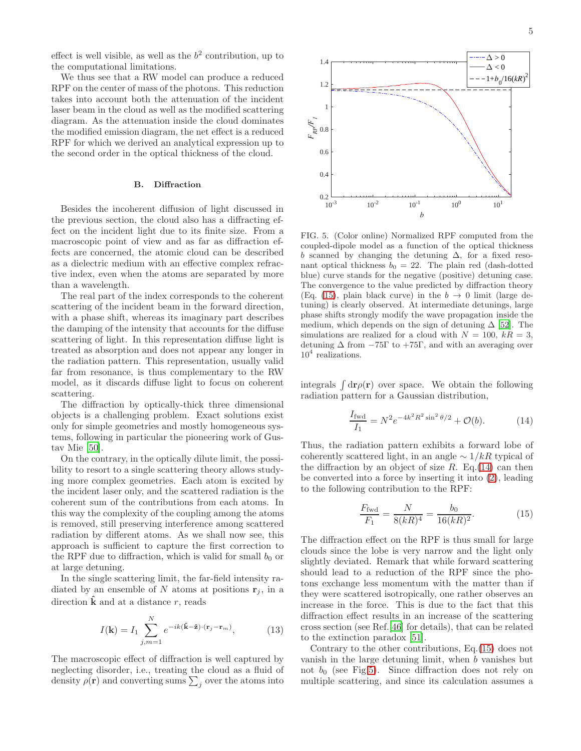effect is well visible, as well as the  $b<sup>2</sup>$  contribution, up to the computational limitations.

We thus see that a RW model can produce a reduced RPF on the center of mass of the photons. This reduction takes into account both the attenuation of the incident laser beam in the cloud as well as the modified scattering diagram. As the attenuation inside the cloud dominates the modified emission diagram, the net effect is a reduced RPF for which we derived an analytical expression up to the second order in the optical thickness of the cloud.

#### B. Diffraction

Besides the incoherent diffusion of light discussed in the previous section, the cloud also has a diffracting effect on the incident light due to its finite size. From a macroscopic point of view and as far as diffraction effects are concerned, the atomic cloud can be described as a dielectric medium with an effective complex refractive index, even when the atoms are separated by more than a wavelength.

The real part of the index corresponds to the coherent scattering of the incident beam in the forward direction, with a phase shift, whereas its imaginary part describes the damping of the intensity that accounts for the diffuse scattering of light. In this representation diffuse light is treated as absorption and does not appear any longer in the radiation pattern. This representation, usually valid far from resonance, is thus complementary to the RW model, as it discards diffuse light to focus on coherent scattering.

The diffraction by optically-thick three dimensional objects is a challenging problem. Exact solutions exist only for simple geometries and mostly homogeneous systems, following in particular the pioneering work of Gustav Mie [\[50\]](#page-10-32).

On the contrary, in the optically dilute limit, the possibility to resort to a single scattering theory allows studying more complex geometries. Each atom is excited by the incident laser only, and the scattered radiation is the coherent sum of the contributions from each atoms. In this way the complexity of the coupling among the atoms is removed, still preserving interference among scattered radiation by different atoms. As we shall now see, this approach is sufficient to capture the first correction to the RPF due to diffraction, which is valid for small  $b_0$  or at large detuning.

In the single scattering limit, the far-field intensity radiated by an ensemble of N atoms at positions  $\mathbf{r}_i$ , in a direction  $\hat{\mathbf{k}}$  and at a distance r, reads

$$
I(\mathbf{k}) = I_1 \sum_{j,m=1}^{N} e^{-ik(\hat{\mathbf{k}} - \hat{\mathbf{z}}) \cdot (\mathbf{r}_j - \mathbf{r}_m)},
$$
(13)

The macroscopic effect of diffraction is well captured by neglecting disorder, i.e., treating the cloud as a fluid of density  $\rho(\mathbf{r})$  and converting sums  $\sum_j$  over the atoms into



<span id="page-4-2"></span>FIG. 5. (Color online) Normalized RPF computed from the coupled-dipole model as a function of the optical thickness b scanned by changing the detuning  $\Delta$ , for a fixed resonant optical thickness  $b_0 = 22$ . The plain red (dash-dotted blue) curve stands for the negative (positive) detuning case. The convergence to the value predicted by diffraction theory (Eq. [\(15\)](#page-4-0), plain black curve) in the  $b \to 0$  limit (large detuning) is clearly observed. At intermediate detunings, large phase shifts strongly modify the wave propagation inside the medium, which depends on the sign of detuning  $\Delta$  [\[52\]](#page-10-33). The simulations are realized for a cloud with  $N = 100$ ,  $kR = 3$ , detuning  $\Delta$  from  $-75\Gamma$  to  $+75\Gamma$ , and with an averaging over 10<sup>4</sup> realizations.

integrals  $\int d\mathbf{r} \rho(\mathbf{r})$  over space. We obtain the following radiation pattern for a Gaussian distribution,

<span id="page-4-1"></span>
$$
\frac{I_{\text{fwd}}}{I_1} = N^2 e^{-4k^2 R^2 \sin^2 \theta/2} + \mathcal{O}(b). \tag{14}
$$

Thus, the radiation pattern exhibits a forward lobe of coherently scattered light, in an angle  $\sim 1/kR$  typical of the diffraction by an object of size  $R$ . Eq.[\(14\)](#page-4-1) can then be converted into a force by inserting it into [\(2\)](#page-2-2), leading to the following contribution to the RPF:

<span id="page-4-0"></span>
$$
\frac{F_{\text{fwd}}}{F_1} = \frac{N}{8(kR)^4} = \frac{b_0}{16(kR)^2}.
$$
 (15)

The diffraction effect on the RPF is thus small for large clouds since the lobe is very narrow and the light only slightly deviated. Remark that while forward scattering should lead to a reduction of the RPF since the photons exchange less momentum with the matter than if they were scattered isotropically, one rather observes an increase in the force. This is due to the fact that this diffraction effect results in an increase of the scattering cross section (see Ref.[\[46\]](#page-10-27) for details), that can be related to the extinction paradox [\[51](#page-10-34)].

Contrary to the other contributions, Eq.[\(15\)](#page-4-0) does not vanish in the large detuning limit, when b vanishes but not  $b_0$  (see Fig[.5\)](#page-4-2). Since diffraction does not rely on multiple scattering, and since its calculation assumes a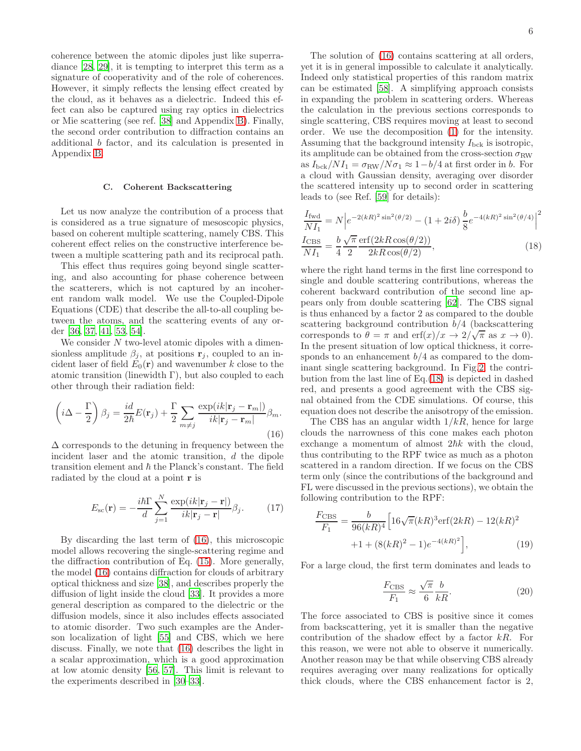coherence between the atomic dipoles just like superradiance [\[28,](#page-10-35) [29\]](#page-10-13), it is tempting to interpret this term as a signature of cooperativity and of the role of coherences. However, it simply reflects the lensing effect created by the cloud, as it behaves as a dielectric. Indeed this effect can also be captured using ray optics in dielectrics or Mie scattering (see ref. [\[38\]](#page-10-22) and Appendix [B\)](#page-8-1). Finally, the second order contribution to diffraction contains an additional b factor, and its calculation is presented in Appendix [B.](#page-8-1)

#### <span id="page-5-1"></span>C. Coherent Backscattering

Let us now analyze the contribution of a process that is considered as a true signature of mesoscopic physics, based on coherent multiple scattering, namely CBS. This coherent effect relies on the constructive interference between a multiple scattering path and its reciprocal path.

This effect thus requires going beyond single scattering, and also accounting for phase coherence between the scatterers, which is not captured by an incoherent random walk model. We use the Coupled-Dipole Equations (CDE) that describe the all-to-all coupling between the atoms, and the scattering events of any order [\[36,](#page-10-19) [37,](#page-10-20) [41](#page-10-36), [53](#page-10-37), [54](#page-10-38)].

We consider N two-level atomic dipoles with a dimensionless amplitude  $\beta_j$ , at positions  $\mathbf{r}_j$ , coupled to an incident laser of field  $E_0(\mathbf{r})$  and wavenumber k close to the atomic transition (linewidth  $\Gamma$ ), but also coupled to each other through their radiation field:

<span id="page-5-0"></span>
$$
\left(i\Delta - \frac{\Gamma}{2}\right)\beta_j = \frac{id}{2\hbar}E(\mathbf{r}_j) + \frac{\Gamma}{2}\sum_{m \neq j} \frac{\exp(ik|\mathbf{r}_j - \mathbf{r}_m|)}{ik|\mathbf{r}_j - \mathbf{r}_m|}\beta_m.
$$
\n(16)

 $\Delta$  corresponds to the detuning in frequency between the incident laser and the atomic transition, d the dipole transition element and  $\hbar$  the Planck's constant. The field radiated by the cloud at a point r is

$$
E_{\rm sc}(\mathbf{r}) = -\frac{i\hbar\Gamma}{d} \sum_{j=1}^{N} \frac{\exp(ik|\mathbf{r}_j - \mathbf{r}|)}{ik|\mathbf{r}_j - \mathbf{r}|} \beta_j.
$$
 (17)

By discarding the last term of [\(16\)](#page-5-0), this microscopic model allows recovering the single-scattering regime and the diffraction contribution of Eq. [\(15\)](#page-4-0). More generally, the model [\(16\)](#page-5-0) contains diffraction for clouds of arbitrary optical thickness and size [\[38](#page-10-22)], and describes properly the diffusion of light inside the cloud [\[33\]](#page-10-16). It provides a more general description as compared to the dielectric or the diffusion models, since it also includes effects associated to atomic disorder. Two such examples are the Anderson localization of light [\[55](#page-11-0)] and CBS, which we here discuss. Finally, we note that [\(16\)](#page-5-0) describes the light in a scalar approximation, which is a good approximation at low atomic density [\[56,](#page-11-1) [57\]](#page-11-2). This limit is relevant to the experiments described in [\[30](#page-10-14)[–33](#page-10-16)].

The solution of [\(16\)](#page-5-0) contains scattering at all orders, yet it is in general impossible to calculate it analytically. Indeed only statistical properties of this random matrix can be estimated [\[58](#page-11-3)]. A simplifying approach consists in expanding the problem in scattering orders. Whereas the calculation in the previous sections corresponds to single scattering, CBS requires moving at least to second order. We use the decomposition [\(1\)](#page-1-3) for the intensity. Assuming that the background intensity  $I_{\text{bck}}$  is isotropic, its amplitude can be obtained from the cross-section  $\sigma_{\text{RW}}$ as  $I_{\text{bck}}/NI_1 = \sigma_{\text{RW}}/N\sigma_1 \approx 1-b/4$  at first order in b. For a cloud with Gaussian density, averaging over disorder the scattered intensity up to second order in scattering leads to (see Ref. [\[59\]](#page-11-4) for details):

<span id="page-5-2"></span>
$$
\frac{I_{\text{fwd}}}{NI_1} = N \left| e^{-2(kR)^2 \sin^2(\theta/2)} - (1 + 2i\delta) \frac{b}{8} e^{-4(kR)^2 \sin^2(\theta/4)} \right|^2
$$
  

$$
\frac{I_{\text{CBS}}}{NI_1} = \frac{b}{4} \frac{\sqrt{\pi}}{2} \frac{\text{erf}(2kR\cos(\theta/2))}{2kR\cos(\theta/2)},
$$
 (18)

where the right hand terms in the first line correspond to single and double scattering contributions, whereas the coherent backward contribution of the second line appears only from double scattering [\[62\]](#page-11-5). The CBS signal is thus enhanced by a factor 2 as compared to the double scattering background contribution  $b/4$  (backscattering corresponds to  $\theta = \pi$  and erf $(x)/x \to 2/\sqrt{\pi}$  as  $x \to 0$ . In the present situation of low optical thickness, it corresponds to an enhancement  $b/4$  as compared to the dominant single scattering background. In Fig[.2,](#page-1-1) the contribution from the last line of Eq.[\(18\)](#page-5-2) is depicted in dashed red, and presents a good agreement with the CBS signal obtained from the CDE simulations. Of course, this equation does not describe the anisotropy of the emission.

The CBS has an angular width  $1/kR$ , hence for large clouds the narrowness of this cone makes each photon exchange a momentum of almost  $2\hbar k$  with the cloud, thus contributing to the RPF twice as much as a photon scattered in a random direction. If we focus on the CBS term only (since the contributions of the background and FL were discussed in the previous sections), we obtain the following contribution to the RPF:

$$
\frac{F_{\text{CBS}}}{F_1} = \frac{b}{96(kR)^4} \left[ 16\sqrt{\pi}(kR)^3 \text{erf}(2kR) - 12(kR)^2 + 1 + (8(kR)^2 - 1)e^{-4(kR)^2} \right],\tag{19}
$$

For a large cloud, the first term dominates and leads to

$$
\frac{F_{\text{CBS}}}{F_1} \approx \frac{\sqrt{\pi}}{6} \frac{b}{kR}.\tag{20}
$$

The force associated to CBS is positive since it comes from backscattering, yet it is smaller than the negative contribution of the shadow effect by a factor  $kR$ . For this reason, we were not able to observe it numerically. Another reason may be that while observing CBS already requires averaging over many realizations for optically thick clouds, where the CBS enhancement factor is 2,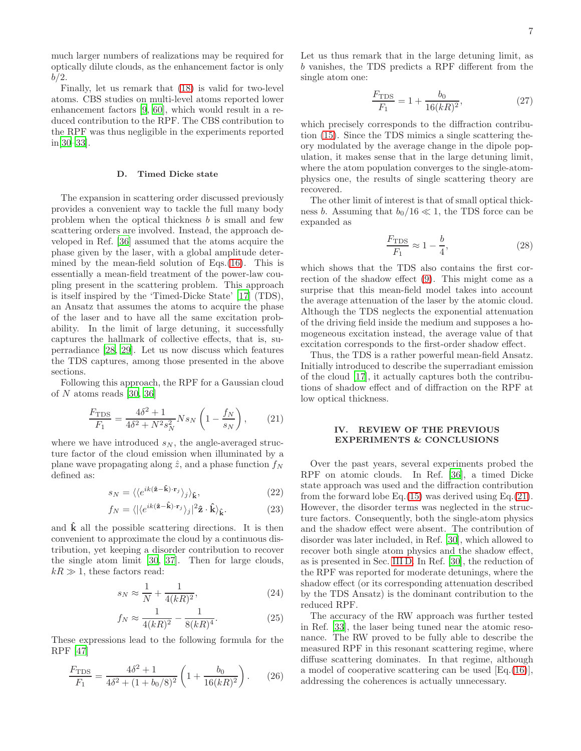much larger numbers of realizations may be required for optically dilute clouds, as the enhancement factor is only  $b/2$ .

Finally, let us remark that [\(18\)](#page-5-2) is valid for two-level atoms. CBS studies on multi-level atoms reported lower enhancement factors [\[9,](#page-10-4) [60](#page-11-6)], which would result in a reduced contribution to the RPF. The CBS contribution to the RPF was thus negligible in the experiments reported in[\[30](#page-10-14)[–33\]](#page-10-16).

### <span id="page-6-0"></span>D. Timed Dicke state

The expansion in scattering order discussed previously provides a convenient way to tackle the full many body problem when the optical thickness  $b$  is small and few scattering orders are involved. Instead, the approach developed in Ref. [\[36\]](#page-10-19) assumed that the atoms acquire the phase given by the laser, with a global amplitude determined by the mean-field solution of Eqs.[\(16\)](#page-5-0). This is essentially a mean-field treatment of the power-law coupling present in the scattering problem. This approach is itself inspired by the 'Timed-Dicke State' [\[17\]](#page-10-11) (TDS), an Ansatz that assumes the atoms to acquire the phase of the laser and to have all the same excitation probability. In the limit of large detuning, it successfully captures the hallmark of collective effects, that is, superradiance [\[28](#page-10-35), [29\]](#page-10-13). Let us now discuss which features the TDS captures, among those presented in the above sections.

Following this approach, the RPF for a Gaussian cloud of N atoms reads [\[30,](#page-10-14) [36\]](#page-10-19)

<span id="page-6-2"></span>
$$
\frac{F_{\text{TDS}}}{F_1} = \frac{4\delta^2 + 1}{4\delta^2 + N^2 s_N^2} N s_N \left( 1 - \frac{f_N}{s_N} \right),\tag{21}
$$

where we have introduced  $s_N$ , the angle-averaged structure factor of the cloud emission when illuminated by a plane wave propagating along  $\hat{z}$ , and a phase function  $f_N$ defined as:

$$
s_N = \langle \langle e^{ik(\hat{\mathbf{z}} - \hat{\mathbf{k}}) \cdot \mathbf{r}_j} \rangle_j \rangle_{\hat{\mathbf{k}}},\tag{22}
$$

$$
f_N = \langle |\langle e^{ik(\hat{\mathbf{z}} - \hat{\mathbf{k}}) \cdot \mathbf{r}_j} \rangle_j|^2 \hat{\mathbf{z}} \cdot \hat{\mathbf{k}} \rangle_{\hat{\mathbf{k}}}.
$$
 (23)

and  $\hat{\mathbf{k}}$  all the possible scattering directions. It is then convenient to approximate the cloud by a continuous distribution, yet keeping a disorder contribution to recover the single atom limit [\[30,](#page-10-14) [37\]](#page-10-20). Then for large clouds,  $k \gg 1$ , these factors read:

$$
s_N \approx \frac{1}{N} + \frac{1}{4(kR)^2},\tag{24}
$$

$$
f_N \approx \frac{1}{4(kR)^2} - \frac{1}{8(kR)^4}.\tag{25}
$$

These expressions lead to the following formula for the RPF [\[47\]](#page-10-28)

$$
\frac{F_{\text{TDS}}}{F_1} = \frac{4\delta^2 + 1}{4\delta^2 + (1 + b_0/8)^2} \left(1 + \frac{b_0}{16(kR)^2}\right). \tag{26}
$$

Let us thus remark that in the large detuning limit, as b vanishes, the TDS predicts a RPF different from the single atom one:

$$
\frac{F_{\text{TDS}}}{F_1} = 1 + \frac{b_0}{16(kR)^2},\tag{27}
$$

which precisely corresponds to the diffraction contribution [\(15\)](#page-4-0). Since the TDS mimics a single scattering theory modulated by the average change in the dipole population, it makes sense that in the large detuning limit, where the atom population converges to the single-atomphysics one, the results of single scattering theory are recovered.

The other limit of interest is that of small optical thickness b. Assuming that  $b_0/16 \ll 1$ , the TDS force can be expanded as

$$
\frac{F_{\text{TDS}}}{F_1} \approx 1 - \frac{b}{4},\tag{28}
$$

which shows that the TDS also contains the first correction of the shadow effect [\(9\)](#page-3-3). This might come as a surprise that this mean-field model takes into account the average attenuation of the laser by the atomic cloud. Although the TDS neglects the exponential attenuation of the driving field inside the medium and supposes a homogeneous excitation instead, the average value of that excitation corresponds to the first-order shadow effect.

Thus, the TDS is a rather powerful mean-field Ansatz. Initially introduced to describe the superradiant emission of the cloud [\[17\]](#page-10-11), it actually captures both the contributions of shadow effect and of diffraction on the RPF at low optical thickness.

### <span id="page-6-1"></span>IV. REVIEW OF THE PREVIOUS EXPERIMENTS & CONCLUSIONS

Over the past years, several experiments probed the RPF on atomic clouds. In Ref. [\[36\]](#page-10-19), a timed Dicke state approach was used and the diffraction contribution from the forward lobe Eq. $(15)$  was derived using Eq. $(21)$ . However, the disorder terms was neglected in the structure factors. Consequently, both the single-atom physics and the shadow effect were absent. The contribution of disorder was later included, in Ref. [\[30](#page-10-14)], which allowed to recover both single atom physics and the shadow effect, as is presented in Sec. [III D.](#page-6-0) In Ref. [\[30](#page-10-14)], the reduction of the RPF was reported for moderate detunings, where the shadow effect (or its corresponding attenuation described by the TDS Ansatz) is the dominant contribution to the reduced RPF.

The accuracy of the RW approach was further tested in Ref. [\[33\]](#page-10-16), the laser being tuned near the atomic resonance. The RW proved to be fully able to describe the measured RPF in this resonant scattering regime, where diffuse scattering dominates. In that regime, although a model of cooperative scattering can be used [Eq.[\(16\)](#page-5-0)], addressing the coherences is actually unnecessary.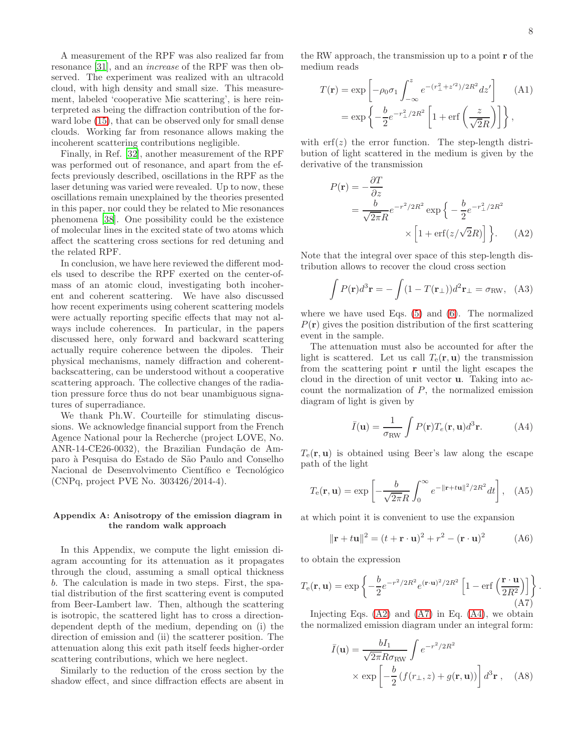A measurement of the RPF was also realized far from resonance [\[31](#page-10-39)], and an increase of the RPF was then observed. The experiment was realized with an ultracold cloud, with high density and small size. This measurement, labeled 'cooperative Mie scattering', is here reinterpreted as being the diffraction contribution of the forward lobe [\(15\)](#page-4-0), that can be observed only for small dense clouds. Working far from resonance allows making the incoherent scattering contributions negligible.

Finally, in Ref. [\[32\]](#page-10-15), another measurement of the RPF was performed out of resonance, and apart from the effects previously described, oscillations in the RPF as the laser detuning was varied were revealed. Up to now, these oscillations remain unexplained by the theories presented in this paper, nor could they be related to Mie resonances phenomena [\[38\]](#page-10-22). One possibility could be the existence of molecular lines in the excited state of two atoms which affect the scattering cross sections for red detuning and the related RPF.

In conclusion, we have here reviewed the different models used to describe the RPF exerted on the center-ofmass of an atomic cloud, investigating both incoherent and coherent scattering. We have also discussed how recent experiments using coherent scattering models were actually reporting specific effects that may not always include coherences. In particular, in the papers discussed here, only forward and backward scattering actually require coherence between the dipoles. Their physical mechanisms, namely diffraction and coherentbackscattering, can be understood without a cooperative scattering approach. The collective changes of the radiation pressure force thus do not bear unambiguous signatures of superradiance.

We thank Ph.W. Courteille for stimulating discussions. We acknowledge financial support from the French Agence National pour la Recherche (project LOVE, No. ANR-14-CE26-0032), the Brazilian Fundação de Amparo `a Pesquisa do Estado de S˜ao Paulo and Conselho Nacional de Desenvolvimento Científico e Tecnológico (CNPq, project PVE No. 303426/2014-4).

# <span id="page-7-0"></span>Appendix A: Anisotropy of the emission diagram in the random walk approach

In this Appendix, we compute the light emission diagram accounting for its attenuation as it propagates through the cloud, assuming a small optical thickness b. The calculation is made in two steps. First, the spatial distribution of the first scattering event is computed from Beer-Lambert law. Then, although the scattering is isotropic, the scattered light has to cross a directiondependent depth of the medium, depending on (i) the direction of emission and (ii) the scatterer position. The attenuation along this exit path itself feeds higher-order scattering contributions, which we here neglect.

Similarly to the reduction of the cross section by the shadow effect, and since diffraction effects are absent in the RW approach, the transmission up to a point r of the medium reads

$$
T(\mathbf{r}) = \exp\left[-\rho_0 \sigma_1 \int_{-\infty}^z e^{-(r_\perp^2 + z^2)/2R^2} dz'\right]
$$
 (A1)  
= 
$$
\exp\left\{-\frac{b}{2}e^{-r_\perp^2/2R^2} \left[1 + \text{erf}\left(\frac{z}{\sqrt{2}R}\right)\right]\right\},
$$

with  $\text{erf}(z)$  the error function. The step-length distribution of light scattered in the medium is given by the derivative of the transmission

<span id="page-7-1"></span>
$$
P(\mathbf{r}) = -\frac{\partial T}{\partial z}
$$
  
=  $\frac{b}{\sqrt{2\pi}R}e^{-r^2/2R^2} \exp\left\{-\frac{b}{2}e^{-r_{\perp}^2/2R^2}\right\}$   
 $\times \left[1 + \text{erf}(z/\sqrt{2}R)\right]\left.\right\}.$  (A2)

Note that the integral over space of this step-length distribution allows to recover the cloud cross section

$$
\int P(\mathbf{r})d^3\mathbf{r} = -\int (1 - T(\mathbf{r}_{\perp}))d^2\mathbf{r}_{\perp} = \sigma_{\text{RW}}, \quad (A3)
$$

where we have used Eqs. [\(5\)](#page-2-3) and [\(6\)](#page-2-1). The normalized  $P(\mathbf{r})$  gives the position distribution of the first scattering event in the sample.

The attenuation must also be accounted for after the light is scattered. Let us call  $T_e(\mathbf{r}, \mathbf{u})$  the transmission from the scattering point r until the light escapes the cloud in the direction of unit vector u. Taking into account the normalization of  $P$ , the normalized emission diagram of light is given by

<span id="page-7-3"></span>
$$
\bar{I}(\mathbf{u}) = \frac{1}{\sigma_{\text{RW}}} \int P(\mathbf{r}) T_e(\mathbf{r}, \mathbf{u}) d^3 \mathbf{r}.
$$
 (A4)

 $T<sub>e</sub>(\mathbf{r}, \mathbf{u})$  is obtained using Beer's law along the escape path of the light

$$
T_{\mathbf{e}}(\mathbf{r}, \mathbf{u}) = \exp\left[-\frac{b}{\sqrt{2\pi}R} \int_0^\infty e^{-\|\mathbf{r} + t\mathbf{u}\|^2 / 2R^2} dt\right], \quad (A5)
$$

at which point it is convenient to use the expansion

$$
\|\mathbf{r} + t\mathbf{u}\|^2 = (t + \mathbf{r} \cdot \mathbf{u})^2 + r^2 - (\mathbf{r} \cdot \mathbf{u})^2
$$
 (A6)

to obtain the expression

<span id="page-7-2"></span>
$$
T_{\rm e}(\mathbf{r}, \mathbf{u}) = \exp\left\{-\frac{b}{2}e^{-r^2/2R^2}e^{(\mathbf{r}\cdot\mathbf{u})^2/2R^2}\left[1 - \text{erf}\left(\frac{\mathbf{r}\cdot\mathbf{u}}{2R^2}\right)\right]\right\}.
$$
\n(A7)

Injecting Eqs.  $(A2)$  and  $(A7)$  in Eq.  $(A4)$ , we obtain the normalized emission diagram under an integral form:

<span id="page-7-4"></span>
$$
\bar{I}(\mathbf{u}) = \frac{bI_1}{\sqrt{2\pi}R\sigma_{\text{RW}}} \int e^{-r^2/2R^2}
$$
\n
$$
\times \exp\left[-\frac{b}{2}(f(r_\perp, z) + g(\mathbf{r}, \mathbf{u}))\right] d^3 \mathbf{r} , \quad \text{(A8)}
$$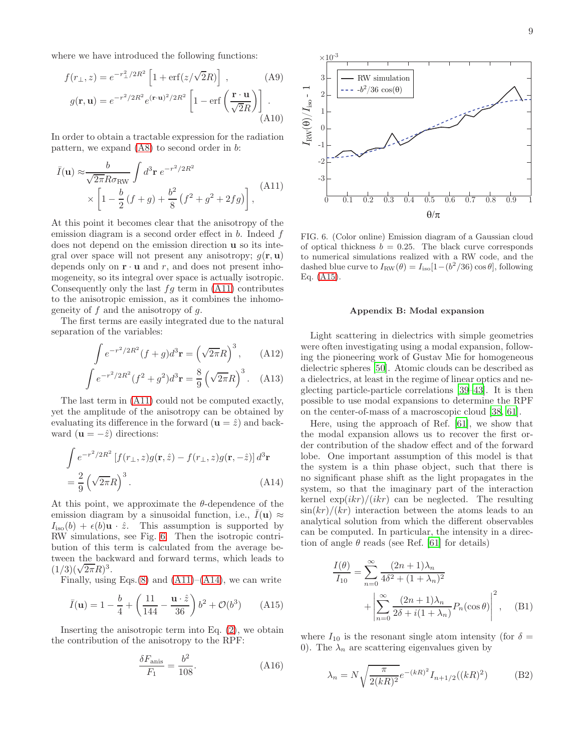where we have introduced the following functions:

$$
f(r_{\perp}, z) = e^{-r_{\perp}^2/2R^2} \left[ 1 + \text{erf}(z/\sqrt{2}R) \right] , \qquad (A9)
$$

$$
g(\mathbf{r}, \mathbf{u}) = e^{-r^2/2R^2} e^{(\mathbf{r} \cdot \mathbf{u})^2/2R^2} \left[ 1 - \text{erf}\left(\frac{\mathbf{r} \cdot \mathbf{u}}{\sqrt{2}R}\right) \right] . \qquad (A10)
$$

In order to obtain a tractable expression for the radiation pattern, we expand [\(A8\)](#page-7-4) to second order in b:

<span id="page-8-2"></span>
$$
\bar{I}(\mathbf{u}) \approx \frac{b}{\sqrt{2\pi}R\sigma_{\text{RW}}} \int d^3 \mathbf{r} \ e^{-r^2/2R^2}
$$
\n
$$
\times \left[1 - \frac{b}{2}(f+g) + \frac{b^2}{8}(f^2+g^2+2fg)\right], \tag{A11}
$$

At this point it becomes clear that the anisotropy of the emission diagram is a second order effect in  $b$ . Indeed  $f$ does not depend on the emission direction u so its integral over space will not present any anisotropy;  $g(\mathbf{r}, \mathbf{u})$ depends only on  $\mathbf{r} \cdot \mathbf{u}$  and  $r$ , and does not present inhomogeneity, so its integral over space is actually isotropic. Consequently only the last  $fg$  term in  $(A11)$  contributes to the anisotropic emission, as it combines the inhomogeneity of f and the anisotropy of  $q$ .

The first terms are easily integrated due to the natural separation of the variables:

$$
\int e^{-r^2/2R^2}(f+g)d^3\mathbf{r} = \left(\sqrt{2\pi}R\right)^3, \quad \text{(A12)}
$$

$$
\int e^{-r^2/2R^2}(f^2+g^2)d^3\mathbf{r} = \frac{8}{9}\left(\sqrt{2\pi}R\right)^3.
$$
 (A13)

The last term in [\(A11\)](#page-8-2) could not be computed exactly, yet the amplitude of the anisotropy can be obtained by evaluating its difference in the forward  $(\mathbf{u} = \hat{z})$  and backward  $(\mathbf{u} = -\hat{z})$  directions:

$$
\int e^{-r^2/2R^2} \left[ f(r_\perp, z) g(\mathbf{r}, \hat{z}) - f(r_\perp, z) g(\mathbf{r}, -\hat{z}) \right] d^3 \mathbf{r}
$$

$$
= \frac{2}{9} \left( \sqrt{2\pi} R \right)^3.
$$
(A14)

At this point, we approximate the  $\theta$ -dependence of the emission diagram by a sinusoidal function, i.e.,  $\bar{I}(\mathbf{u}) \approx$  $I_{\text{iso}}(b) + \epsilon(b)\mathbf{u} \cdot \hat{z}$ . This assumption is supported by RW simulations, see Fig. [6.](#page-8-0) Then the isotropic contribution of this term is calculated from the average between the backward and forward terms, which leads to  $\frac{\text{mconine base}}{(1/3)(\sqrt{2\pi}R)^3}$ .

Finally, using Eqs. $(8)$  and  $(A11)–(A14)$  $(A11)–(A14)$ , we can write

<span id="page-8-4"></span>
$$
\bar{I}(\mathbf{u}) = 1 - \frac{b}{4} + \left(\frac{11}{144} - \frac{\mathbf{u} \cdot \hat{z}}{36}\right) b^2 + \mathcal{O}(b^3) \tag{A15}
$$

Inserting the anisotropic term into Eq.  $(2)$ , we obtain the contribution of the anisotropy to the RPF:

$$
\frac{\delta F_{\text{anis}}}{F_1} = \frac{b^2}{108}.\tag{A16}
$$



<span id="page-8-0"></span>FIG. 6. (Color online) Emission diagram of a Gaussian cloud of optical thickness  $b = 0.25$ . The black curve corresponds to numerical simulations realized with a RW code, and the dashed blue curve to  $I_{RW}(\theta) = I_{iso}[1-(b^2/36)\cos\theta]$ , following Eq. [\(A15\)](#page-8-4).

#### <span id="page-8-1"></span>Appendix B: Modal expansion

Light scattering in dielectrics with simple geometries were often investigating using a modal expansion, following the pioneering work of Gustav Mie for homogeneous dielectric spheres [\[50\]](#page-10-32). Atomic clouds can be described as a dielectrics, at least in the regime of linear optics and neglecting particle-particle correlations [\[39](#page-10-23)[–43](#page-10-24)]. It is then possible to use modal expansions to determine the RPF on the center-of-mass of a macroscopic cloud [\[38](#page-10-22), [61\]](#page-11-7).

<span id="page-8-3"></span>Here, using the approach of Ref. [\[61\]](#page-11-7), we show that the modal expansion allows us to recover the first order contribution of the shadow effect and of the forward lobe. One important assumption of this model is that the system is a thin phase object, such that there is no significant phase shift as the light propagates in the system, so that the imaginary part of the interaction kernel  $\exp(ikr)/(ikr)$  can be neglected. The resulting  $\sin(kr)/(kr)$  interaction between the atoms leads to an analytical solution from which the different observables can be computed. In particular, the intensity in a direction of angle  $\theta$  reads (see Ref. [\[61\]](#page-11-7) for details)

<span id="page-8-5"></span>
$$
\frac{I(\theta)}{I_{10}} = \sum_{n=0}^{\infty} \frac{(2n+1)\lambda_n}{4\delta^2 + (1+\lambda_n)^2} + \left| \sum_{n=0}^{\infty} \frac{(2n+1)\lambda_n}{2\delta + i(1+\lambda_n)} P_n(\cos \theta) \right|^2, \quad (B1)
$$

where  $I_{10}$  is the resonant single atom intensity (for  $\delta =$ 0). The  $\lambda_n$  are scattering eigenvalues given by

$$
\lambda_n = N \sqrt{\frac{\pi}{2(kR)^2}} e^{-(kR)^2} I_{n+1/2}((kR)^2)
$$
 (B2)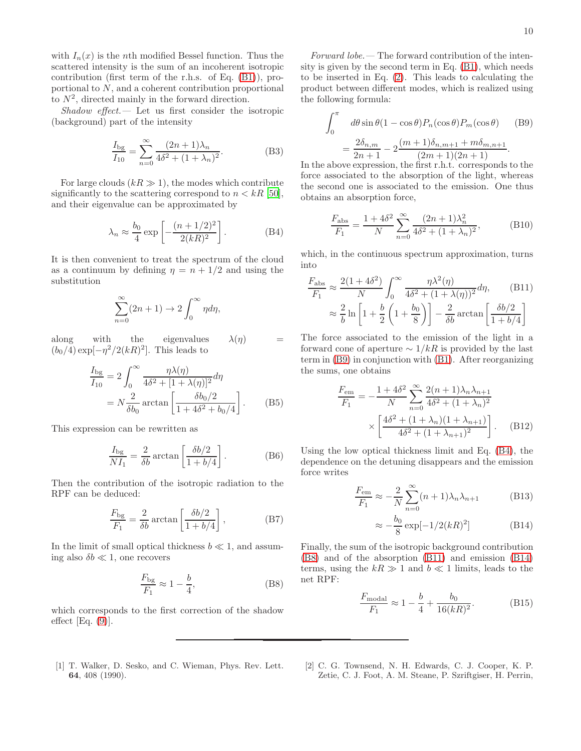with  $I_n(x)$  is the *n*th modified Bessel function. Thus the scattered intensity is the sum of an incoherent isotropic contribution (first term of the r.h.s. of Eq. [\(B1\)](#page-8-5)), proportional to N, and a coherent contribution proportional to  $N^2$ , directed mainly in the forward direction.

 $\mathit{Shadow\ effect}$  — Let us first consider the isotropic (background) part of the intensity

$$
\frac{I_{\rm bg}}{I_{10}} = \sum_{n=0}^{\infty} \frac{(2n+1)\lambda_n}{4\delta^2 + (1+\lambda_n)^2}.
$$
 (B3)

For large clouds  $(kR \gg 1)$ , the modes which contribute significantly to the scattering correspond to  $n < kR$  [\[50\]](#page-10-32), and their eigenvalue can be approximated by

<span id="page-9-2"></span>
$$
\lambda_n \approx \frac{b_0}{4} \exp\left[-\frac{(n+1/2)^2}{2(kR)^2}\right].
$$
 (B4)

It is then convenient to treat the spectrum of the cloud as a continuum by defining  $\eta = n + 1/2$  and using the substitution

$$
\sum_{n=0}^{\infty} (2n+1) \to 2 \int_0^{\infty} \eta d\eta,
$$

along with the eigenvalues  $\lambda(\eta)$  =  $(b_0/4) \exp[-\eta^2/2(kR)^2]$ . This leads to

$$
\frac{I_{\rm bg}}{I_{10}} = 2 \int_0^\infty \frac{\eta \lambda(\eta)}{4\delta^2 + [1 + \lambda(\eta)]^2} d\eta
$$

$$
= N \frac{2}{\delta b_0} \arctan\left[\frac{\delta b_0/2}{1 + 4\delta^2 + b_0/4}\right].
$$
 (B5)

This expression can be rewritten as

$$
\frac{I_{\text{bg}}}{NI_1} = \frac{2}{\delta b} \arctan\left[\frac{\delta b/2}{1 + b/4}\right].
$$
 (B6)

Then the contribution of the isotropic radiation to the RPF can be deduced:

$$
\frac{F_{\rm bg}}{F_1} = \frac{2}{\delta b} \arctan\left[\frac{\delta b/2}{1 + b/4}\right],\tag{B7}
$$

In the limit of small optical thickness  $b \ll 1$ , and assuming also  $\delta b \ll 1$ , one recovers

<span id="page-9-3"></span>
$$
\frac{F_{\text{bg}}}{F_1} \approx 1 - \frac{b}{4},\tag{B8}
$$

which corresponds to the first correction of the shadow effect  $[Eq. (9)].$  $[Eq. (9)].$  $[Eq. (9)].$ 

<span id="page-9-0"></span>[1] T. Walker, D. Sesko, and C. Wieman, Phys. Rev. Lett. 64, 408 (1990).

Forward lobe.— The forward contribution of the intensity is given by the second term in Eq. [\(B1\)](#page-8-5), which needs to be inserted in Eq. [\(2\)](#page-2-2). This leads to calculating the product between different modes, which is realized using the following formula:

<span id="page-9-1"></span>
$$
\int_0^\pi d\theta \sin \theta (1 - \cos \theta) P_n(\cos \theta) P_m(\cos \theta)
$$
 (B9)  
= 
$$
\frac{2\delta_{n,m}}{2n+1} - 2 \frac{(m+1)\delta_{n,m+1} + m\delta_{m,n+1}}{(2m+1)(2n+1)}.
$$

In the above expression, the first r.h.t. corresponds to the force associated to the absorption of the light, whereas the second one is associated to the emission. One thus obtains an absorption force,

$$
\frac{F_{\text{abs}}}{F_1} = \frac{1 + 4\delta^2}{N} \sum_{n=0}^{\infty} \frac{(2n+1)\lambda_n^2}{4\delta^2 + (1+\lambda_n)^2},
$$
(B10)

which, in the continuous spectrum approximation, turns into

<span id="page-9-4"></span>
$$
\frac{F_{\text{abs}}}{F_1} \approx \frac{2(1+4\delta^2)}{N} \int_0^\infty \frac{\eta \lambda^2(\eta)}{4\delta^2 + (1+\lambda(\eta))^2} d\eta, \qquad \text{(B11)}
$$

$$
\approx \frac{2}{b} \ln\left[1 + \frac{b}{2}\left(1 + \frac{b_0}{8}\right)\right] - \frac{2}{\delta b} \arctan\left[\frac{\delta b/2}{1 + b/4}\right]
$$

The force associated to the emission of the light in a forward cone of aperture  $\sim 1/kR$  is provided by the last term in [\(B9\)](#page-9-1) in conjunction with [\(B1\)](#page-8-5). After reorganizing the sums, one obtains

$$
\frac{F_{\text{em}}}{F_1} = -\frac{1 + 4\delta^2}{N} \sum_{n=0}^{\infty} \frac{2(n+1)\lambda_n \lambda_{n+1}}{4\delta^2 + (1 + \lambda_n)^2} \times \left[ \frac{4\delta^2 + (1 + \lambda_n)(1 + \lambda_{n+1})}{4\delta^2 + (1 + \lambda_{n+1})^2} \right]. \tag{B12}
$$

Using the low optical thickness limit and Eq. [\(B4\)](#page-9-2), the dependence on the detuning disappears and the emission force writes

<span id="page-9-5"></span>
$$
\frac{F_{\text{em}}}{F_1} \approx -\frac{2}{N} \sum_{n=0}^{\infty} (n+1)\lambda_n \lambda_{n+1}
$$
 (B13)

$$
\approx -\frac{b_0}{8} \exp[-1/2(kR)^2]
$$
 (B14)

Finally, the sum of the isotropic background contribution [\(B8\)](#page-9-3) and of the absorption [\(B11\)](#page-9-4) and emission [\(B14\)](#page-9-5) terms, using the  $kR \gg 1$  and  $b \ll 1$  limits, leads to the net RPF:

$$
\frac{F_{\text{modal}}}{F_1} \approx 1 - \frac{b}{4} + \frac{b_0}{16(kR)^2}.
$$
 (B15)

[2] C. G. Townsend, N. H. Edwards, C. J. Cooper, K. P. Zetie, C. J. Foot, A. M. Steane, P. Szriftgiser, H. Perrin,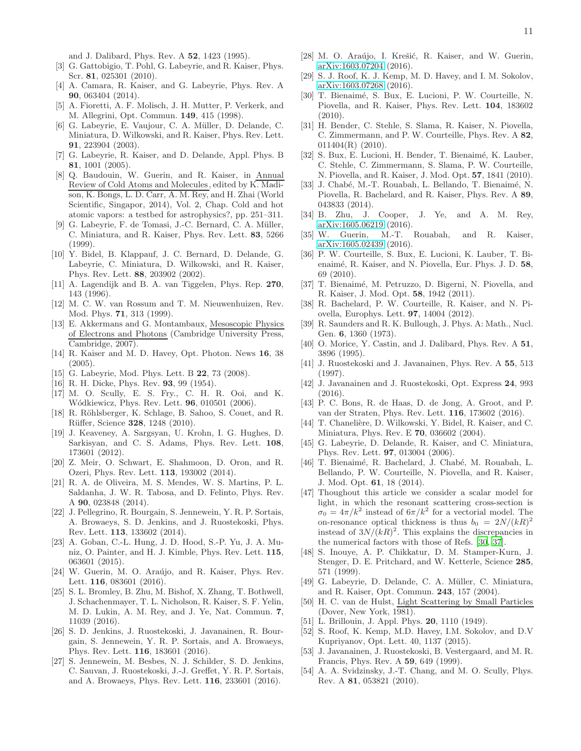and J. Dalibard, Phys. Rev. A 52, 1423 (1995).

- [3] G. Gattobigio, T. Pohl, G. Labeyrie, and R. Kaiser, Phys. Scr. 81, 025301 (2010).
- <span id="page-10-0"></span>[4] A. Camara, R. Kaiser, and G. Labeyrie, Phys. Rev. A 90, 063404 (2014).
- <span id="page-10-1"></span>[5] A. Fioretti, A. F. Molisch, J. H. Mutter, P. Verkerk, and M. Allegrini, Opt. Commun. 149, 415 (1998).
- <span id="page-10-21"></span>[6] G. Labeyrie, E. Vaujour, C. A. Müller, D. Delande, C. Miniatura, D. Wilkowski, and R. Kaiser, Phys. Rev. Lett. 91, 223904 (2003).
- <span id="page-10-2"></span>[7] G. Labeyrie, R. Kaiser, and D. Delande, Appl. Phys. B 81, 1001 (2005).
- <span id="page-10-3"></span>[8] Q. Baudouin, W. Guerin, and R. Kaiser, in Annual Review of Cold Atoms and Molecules, edited by K. Madison, K. Bongs, L. D. Carr, A. M. Rey, and H. Zhai (World Scientific, Singapor, 2014), Vol. 2, Chap. Cold and hot atomic vapors: a testbed for astrophysics?, pp. 251–311.
- <span id="page-10-4"></span>[9] G. Labeyrie, F. de Tomasi, J.-C. Bernard, C. A. Müller, C. Miniatura, and R. Kaiser, Phys. Rev. Lett. 83, 5266 (1999).
- <span id="page-10-5"></span>[10] Y. Bidel, B. Klappauf, J. C. Bernard, D. Delande, G. Labeyrie, C. Miniatura, D. Wilkowski, and R. Kaiser, Phys. Rev. Lett. 88, 203902 (2002).
- <span id="page-10-6"></span>[11] A. Lagendijk and B. A. van Tiggelen, Phys. Rep. 270, 143 (1996).
- [12] M. C. W. van Rossum and T. M. Nieuwenhuizen, Rev. Mod. Phys. 71, 313 (1999).
- <span id="page-10-7"></span>[13] E. Akkermans and G. Montambaux, Mesoscopic Physics of Electrons and Photons (Cambridge University Press, Cambridge, 2007).
- <span id="page-10-8"></span>[14] R. Kaiser and M. D. Havey, Opt. Photon. News 16, 38  $(2005)$ .
- <span id="page-10-9"></span>[15] G. Labeyrie, Mod. Phys. Lett. B 22, 73 (2008).
- <span id="page-10-10"></span>[16] R. H. Dicke, Phys. Rev. **93**, 99 (1954).
- <span id="page-10-11"></span>[17] M. O. Scully, E. S. Fry., C. H. R. Ooi, and K. Wódkiewicz, Phys. Rev. Lett. **96**, 010501 (2006).
- <span id="page-10-12"></span>[18] R. Röhlsberger, K. Schlage, B. Sahoo, S. Couet, and R. Rüffer, Science 328, 1248 (2010).
- [19] J. Keaveney, A. Sargsyan, U. Krohn, I. G. Hughes, D. Sarkisyan, and C. S. Adams, Phys. Rev. Lett. 108, 173601 (2012).
- [20] Z. Meir, O. Schwart, E. Shahmoon, D. Oron, and R. Ozeri, Phys. Rev. Lett. 113, 193002 (2014).
- [21] R. A. de Oliveira, M. S. Mendes, W. S. Martins, P. L. Saldanha, J. W. R. Tabosa, and D. Felinto, Phys. Rev. A 90, 023848 (2014).
- <span id="page-10-31"></span>[22] J. Pellegrino, R. Bourgain, S. Jennewein, Y. R. P. Sortais, A. Browaeys, S. D. Jenkins, and J. Ruostekoski, Phys. Rev. Lett. 113, 133602 (2014).
- [23] A. Goban, C.-L. Hung, J. D. Hood, S.-P. Yu, J. A. Muniz, O. Painter, and H. J. Kimble, Phys. Rev. Lett. 115, 063601 (2015).
- [24] W. Guerin, M. O. Araújo, and R. Kaiser, Phys. Rev. Lett. **116**, 083601 (2016).
- [25] S. L. Bromley, B. Zhu, M. Bishof, X. Zhang, T. Bothwell, J. Schachenmayer, T. L. Nicholson, R. Kaiser, S. F. Yelin, M. D. Lukin, A. M. Rey, and J. Ye, Nat. Commun. 7, 11039 (2016).
- [26] S. D. Jenkins, J. Ruostekoski, J. Javanainen, R. Bourgain, S. Jennewein, Y. R. P. Sortais, and A. Browaeys, Phys. Rev. Lett. 116, 183601 (2016).
- [27] S. Jennewein, M. Besbes, N. J. Schilder, S. D. Jenkins, C. Sauvan, J. Ruostekoski, J.-J. Greffet, Y. R. P. Sortais, and A. Browaeys, Phys. Rev. Lett. 116, 233601 (2016).
- <span id="page-10-35"></span>[28] M. O. Araújo, I. Krešić, R. Kaiser, and W. Guerin, [arXiv:1603.07204](http://arxiv.org/abs/1603.07204) (2016).
- <span id="page-10-13"></span>[29] S. J. Roof, K. J. Kemp, M. D. Havey, and I. M. Sokolov, [arXiv:1603.07268](http://arxiv.org/abs/1603.07268) (2016).
- <span id="page-10-14"></span>[30] T. Bienaimé, S. Bux, E. Lucioni, P. W. Courteille, N. Piovella, and R. Kaiser, Phys. Rev. Lett. 104, 183602 (2010).
- <span id="page-10-39"></span>[31] H. Bender, C. Stehle, S. Slama, R. Kaiser, N. Piovella, C. Zimmermann, and P. W. Courteille, Phys. Rev. A 82, 011404(R) (2010).
- <span id="page-10-15"></span>[32] S. Bux, E. Lucioni, H. Bender, T. Bienaimé, K. Lauber, C. Stehle, C. Zimmermann, S. Slama, P. W. Courteille, N. Piovella, and R. Kaiser, J. Mod. Opt. 57, 1841 (2010).
- <span id="page-10-16"></span>[33] J. Chabé, M.-T. Rouabah, L. Bellando, T. Bienaimé, N. Piovella, R. Bachelard, and R. Kaiser, Phys. Rev. A 89, 043833 (2014).
- <span id="page-10-17"></span>[34] B. Zhu, J. Cooper, J. Ye, and A. M. Rey, [arXiv:1605.06219](http://arxiv.org/abs/1605.06219) (2016).
- <span id="page-10-18"></span>[35] W. Guerin, M.-T. Rouabah, and R. Kaiser, [arXiv:1605.02439](http://arxiv.org/abs/1605.02439) (2016).
- <span id="page-10-19"></span>[36] P. W. Courteille, S. Bux, E. Lucioni, K. Lauber, T. Bienaimé, R. Kaiser, and N. Piovella, Eur. Phys. J. D. 58, 69 (2010).
- <span id="page-10-20"></span>[37] T. Bienaimé, M. Petruzzo, D. Bigerni, N. Piovella, and R. Kaiser, J. Mod. Opt. 58, 1942 (2011).
- <span id="page-10-22"></span>[38] R. Bachelard, P. W. Courteille, R. Kaiser, and N. Piovella, Europhys. Lett. 97, 14004 (2012).
- <span id="page-10-23"></span>[39] R. Saunders and R. K. Bullough, J. Phys. A: Math., Nucl. Gen. 6, 1360 (1973).
- [40] O. Morice, Y. Castin, and J. Dalibard, Phys. Rev. A 51, 3896 (1995).
- <span id="page-10-36"></span>[41] J. Ruostekoski and J. Javanainen, Phys. Rev. A 55, 513 (1997).
- [42] J. Javanainen and J. Ruostekoski, Opt. Express 24, 993 (2016).
- <span id="page-10-24"></span>[43] P. C. Bons, R. de Haas, D. de Jong, A. Groot, and P. van der Straten, Phys. Rev. Lett. 116, 173602 (2016).
- <span id="page-10-25"></span>[44] T. Chanelière, D. Wilkowski, Y. Bidel, R. Kaiser, and C. Miniatura, Phys. Rev. E 70, 036602 (2004).
- <span id="page-10-26"></span>[45] G. Labeyrie, D. Delande, R. Kaiser, and C. Miniatura, Phys. Rev. Lett. 97, 013004 (2006).
- <span id="page-10-27"></span>[46] T. Bienaimé, R. Bachelard, J. Chabé, M. Rouabah, L. Bellando, P. W. Courteille, N. Piovella, and R. Kaiser, J. Mod. Opt. 61, 18 (2014).
- <span id="page-10-28"></span>[47] Thoughout this article we consider a scalar model for light, in which the resonant scattering cross-section is  $\sigma_0 = 4\pi/k^2$  instead of  $6\pi/k^2$  for a vectorial model. The on-resonance optical thickness is thus  $b_0 = 2N/(kR)^2$ instead of  $3N/(kR)^2$ . This explains the discrepancies in the numerical factors with those of Refs. [\[30,](#page-10-14) [37\]](#page-10-20).
- <span id="page-10-29"></span>[48] S. Inouye, A. P. Chikkatur, D. M. Stamper-Kurn, J. Stenger, D. E. Pritchard, and W. Ketterle, Science 285, 571 (1999).
- <span id="page-10-30"></span>[49] G. Labeyrie, D. Delande, C. A. Müller, C. Miniatura, and R. Kaiser, Opt. Commun. 243, 157 (2004).
- <span id="page-10-32"></span>[50] H. C. van de Hulst, Light Scattering by Small Particles (Dover, New York, 1981).
- <span id="page-10-34"></span>[51] L. Brillouin, J. Appl. Phys. **20**, 1110 (1949).
- <span id="page-10-33"></span>[52] S. Roof, K. Kemp, M.D. Havey, I.M. Sokolov, and D.V Kupriyanov, Opt. Lett. 40, 1137 (2015).
- <span id="page-10-37"></span>[53] J. Javanainen, J. Ruostekoski, B. Vestergaard, and M. R. Francis, Phys. Rev. A 59, 649 (1999).
- <span id="page-10-38"></span>[54] A. A. Svidzinsky, J.-T. Chang, and M. O. Scully, Phys. Rev. A 81, 053821 (2010).